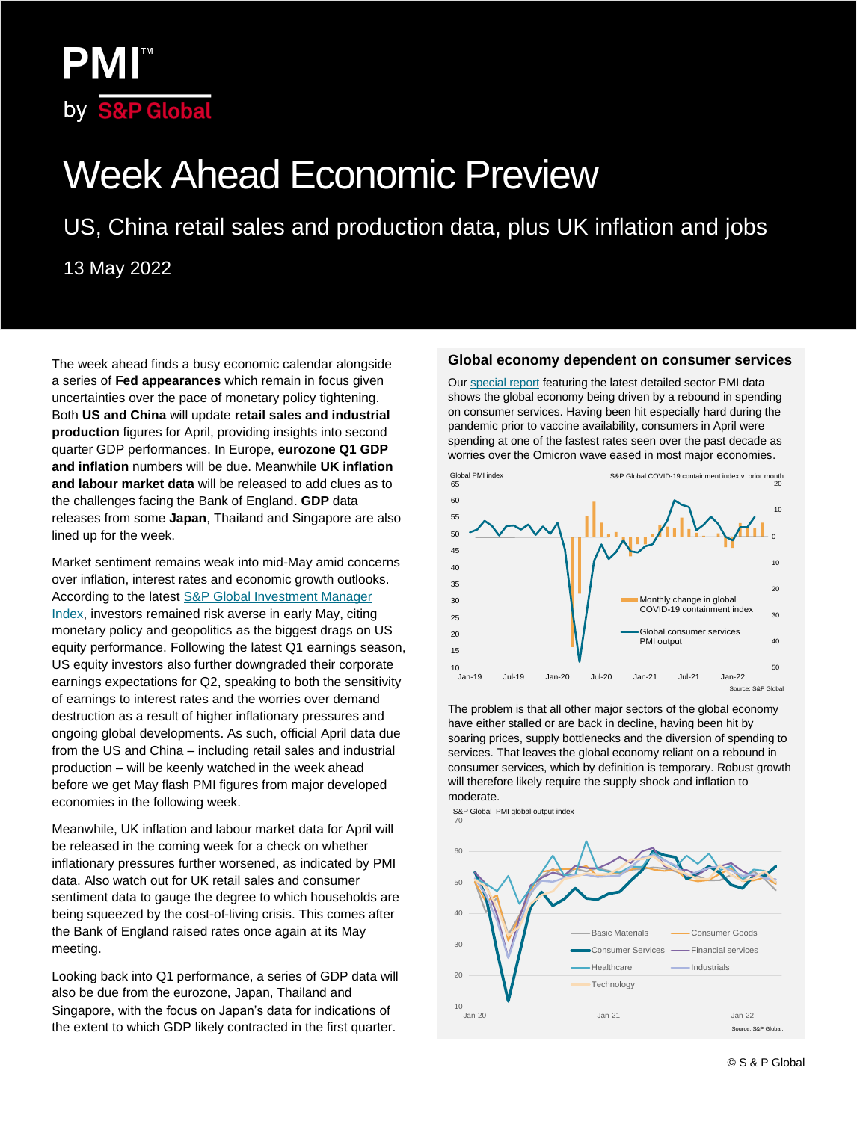## **PMI™** by S&P Global

# Week Ahead Economic Preview

US, China retail sales and production data, plus UK inflation and jobs

13 May 2022

The week ahead finds a busy economic calendar alongside a series of **Fed appearances** which remain in focus given uncertainties over the pace of monetary policy tightening. Both **US and China** will update **retail sales and industrial production** figures for April, providing insights into second quarter GDP performances. In Europe, **eurozone Q1 GDP and inflation** numbers will be due. Meanwhile **UK inflation and labour market data** will be released to add clues as to the challenges facing the Bank of England. **GDP** data releases from some **Japan**, Thailand and Singapore are also lined up for the week.

Market sentiment remains weak into mid-May amid concerns over inflation, interest rates and economic growth outlooks. According to the lates[t S&P Global Investment Manager](https://www.markiteconomics.com/Public/Home/PressRelease/2a8d1112fb7a4c42a7ad20f130b1ffde)  [Index,](https://www.markiteconomics.com/Public/Home/PressRelease/2a8d1112fb7a4c42a7ad20f130b1ffde) investors remained risk averse in early May, citing monetary policy and geopolitics as the biggest drags on US equity performance. Following the latest Q1 earnings season, US equity investors also further downgraded their corporate earnings expectations for Q2, speaking to both the sensitivity of earnings to interest rates and the worries over demand destruction as a result of higher inflationary pressures and ongoing global developments. As such, official April data due from the US and China – including retail sales and industrial production – will be keenly watched in the week ahead before we get May flash PMI figures from major developed economies in the following week.

Meanwhile, UK inflation and labour market data for April will be released in the coming week for a check on whether inflationary pressures further worsened, as indicated by PMI data. Also watch out for UK retail sales and consumer sentiment data to gauge the degree to which households are being squeezed by the cost-of-living crisis. This comes after the Bank of England raised rates once again at its May meeting.

Looking back into Q1 performance, a series of GDP data will also be due from the eurozone, Japan, Thailand and Singapore, with the focus on Japan's data for indications of the extent to which GDP likely contracted in the first quarter.

#### **Global economy dependent on consumer services**

Our [special report](#page-3-0) featuring the latest detailed sector PMI data shows the global economy being driven by a rebound in spending on consumer services. Having been hit especially hard during the pandemic prior to vaccine availability, consumers in April were spending at one of the fastest rates seen over the past decade as worries over the Omicron wave eased in most major economies.



The problem is that all other major sectors of the global economy have either stalled or are back in decline, having been hit by soaring prices, supply bottlenecks and the diversion of spending to services. That leaves the global economy reliant on a rebound in consumer services, which by definition is temporary. Robust growth will therefore likely require the supply shock and inflation to moderate.

S&P Global PMI global output index

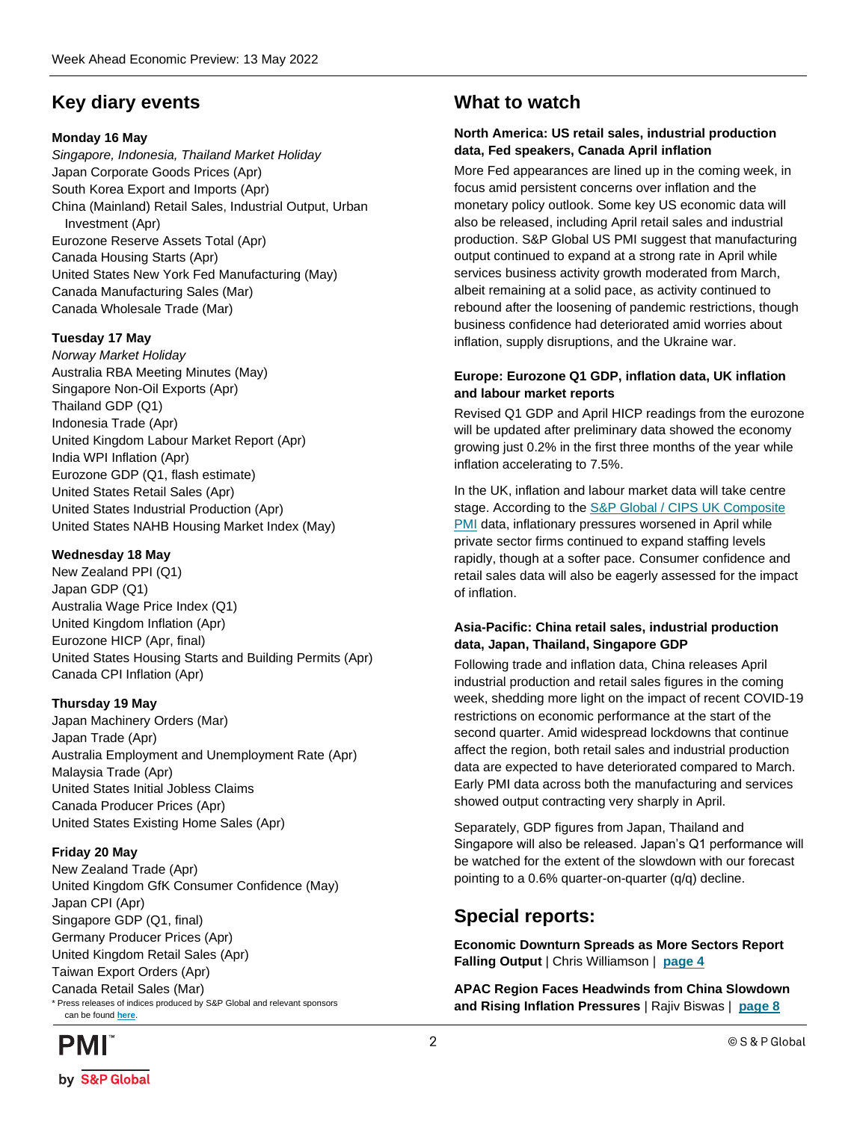### **Key diary events**

### **Monday 16 May**

*Singapore, Indonesia, Thailand Market Holiday* Japan Corporate Goods Prices (Apr) South Korea Export and Imports (Apr) China (Mainland) Retail Sales, Industrial Output, Urban Investment (Apr) Eurozone Reserve Assets Total (Apr) Canada Housing Starts (Apr) United States New York Fed Manufacturing (May) Canada Manufacturing Sales (Mar) Canada Wholesale Trade (Mar)

### **Tuesday 17 May**

*Norway Market Holiday* Australia RBA Meeting Minutes (May) Singapore Non-Oil Exports (Apr) Thailand GDP (Q1) Indonesia Trade (Apr) United Kingdom Labour Market Report (Apr) India WPI Inflation (Apr) Eurozone GDP (Q1, flash estimate) United States Retail Sales (Apr) United States Industrial Production (Apr) United States NAHB Housing Market Index (May)

#### **Wednesday 18 May**

New Zealand PPI (Q1) Japan GDP (Q1) Australia Wage Price Index (Q1) United Kingdom Inflation (Apr) Eurozone HICP (Apr, final) United States Housing Starts and Building Permits (Apr) Canada CPI Inflation (Apr)

### **Thursday 19 May**

Japan Machinery Orders (Mar) Japan Trade (Apr) Australia Employment and Unemployment Rate (Apr) Malaysia Trade (Apr) United States Initial Jobless Claims Canada Producer Prices (Apr) United States Existing Home Sales (Apr)

### **Friday 20 May**

New Zealand Trade (Apr) United Kingdom GfK Consumer Confidence (May) Japan CPI (Apr) Singapore GDP (Q1, final) Germany Producer Prices (Apr) United Kingdom Retail Sales (Apr) Taiwan Export Orders (Apr) Canada Retail Sales (Mar) \* Press releases of indices produced by S&P Global and relevant sponsors can be found **[here](https://www.markiteconomics.com/Public/Release/PressReleases)**.

## **PMI** by S&P Global

### **What to watch**

### **North America: US retail sales, industrial production data, Fed speakers, Canada April inflation**

More Fed appearances are lined up in the coming week, in focus amid persistent concerns over inflation and the monetary policy outlook. Some key US economic data will also be released, including April retail sales and industrial production. S&P Global US PMI suggest that manufacturing output continued to expand at a strong rate in April while services business activity growth moderated from March, albeit remaining at a solid pace, as activity continued to rebound after the loosening of pandemic restrictions, though business confidence had deteriorated amid worries about inflation, supply disruptions, and the Ukraine war.

### **Europe: Eurozone Q1 GDP, inflation data, UK inflation and labour market reports**

Revised Q1 GDP and April HICP readings from the eurozone will be updated after preliminary data showed the economy growing just 0.2% in the first three months of the year while inflation accelerating to 7.5%.

In the UK, inflation and labour market data will take centre stage. According to the [S&P Global / CIPS UK Composite](https://www.markiteconomics.com/Public/Home/PressRelease/f8b88c871ce24753a8c305851f17175e)  [PMI](https://www.markiteconomics.com/Public/Home/PressRelease/f8b88c871ce24753a8c305851f17175e) data, inflationary pressures worsened in April while private sector firms continued to expand staffing levels rapidly, though at a softer pace. Consumer confidence and retail sales data will also be eagerly assessed for the impact of inflation.

### **Asia-Pacific: China retail sales, industrial production data, Japan, Thailand, Singapore GDP**

Following trade and inflation data, China releases April industrial production and retail sales figures in the coming week, shedding more light on the impact of recent COVID-19 restrictions on economic performance at the start of the second quarter. Amid widespread lockdowns that continue affect the region, both retail sales and industrial production data are expected to have deteriorated compared to March. Early PMI data across both the manufacturing and services showed output contracting very sharply in April.

Separately, GDP figures from Japan, Thailand and Singapore will also be released. Japan's Q1 performance will be watched for the extent of the slowdown with our forecast pointing to a 0.6% quarter-on-quarter (q/q) decline.

### **Special reports:**

**Economic Downturn Spreads as More Sectors Report Falling Output** | Chris Williamson | **[page 4](#page-3-0)**

**APAC Region Faces Headwinds from China Slowdown and Rising Inflation Pressures** | Rajiv Biswas | **[page 8](#page-7-0)**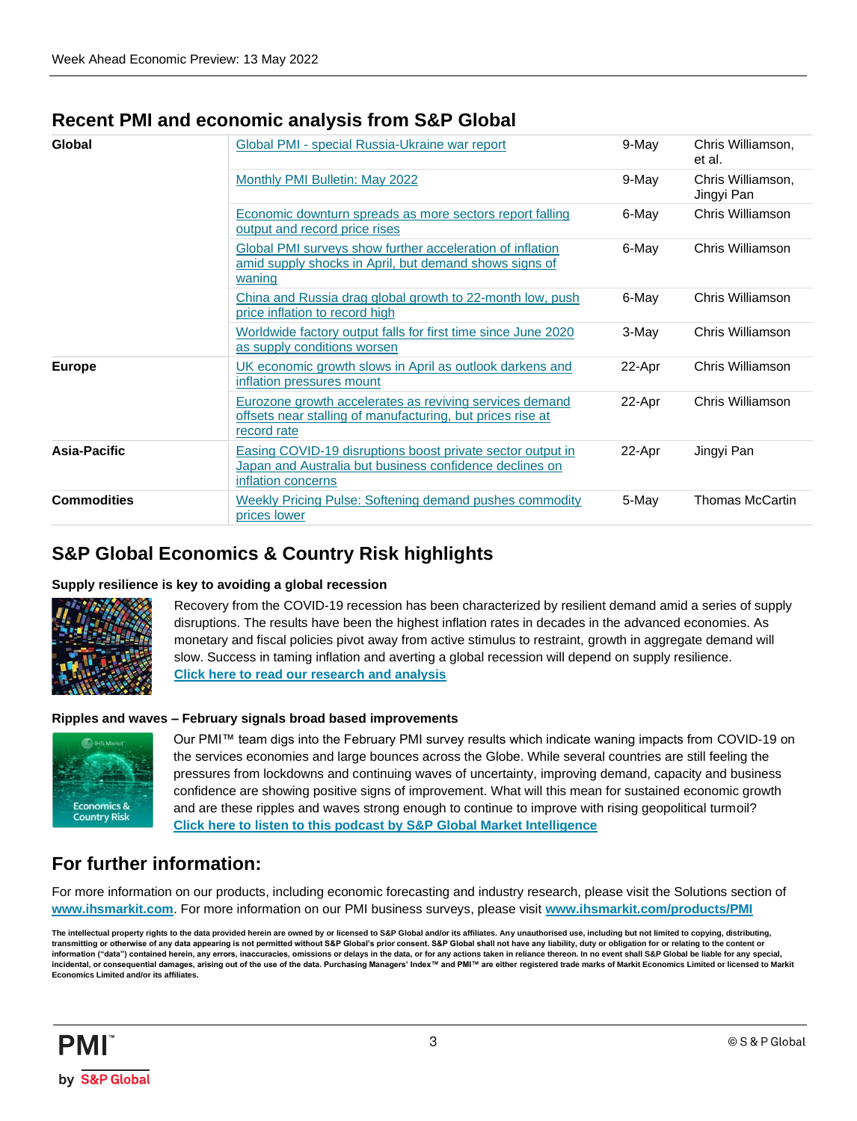### **Recent PMI and economic analysis from S&P Global**

| Global             | Global PMI - special Russia-Ukraine war report                                                                                              | 9-May  | Chris Williamson,<br>et al.     |
|--------------------|---------------------------------------------------------------------------------------------------------------------------------------------|--------|---------------------------------|
|                    | Monthly PMI Bulletin: May 2022                                                                                                              | 9-May  | Chris Williamson,<br>Jingyi Pan |
|                    | Economic downturn spreads as more sectors report falling<br>output and record price rises                                                   | 6-May  | Chris Williamson                |
|                    | Global PMI surveys show further acceleration of inflation<br>amid supply shocks in April, but demand shows signs of<br>waning               | 6-May  | Chris Williamson                |
|                    | China and Russia drag global growth to 22-month low, push<br>price inflation to record high                                                 | 6-May  | Chris Williamson                |
|                    | Worldwide factory output falls for first time since June 2020<br>as supply conditions worsen                                                | 3-May  | Chris Williamson                |
| <b>Europe</b>      | UK economic growth slows in April as outlook darkens and<br>inflation pressures mount                                                       | 22-Apr | Chris Williamson                |
|                    | Eurozone growth accelerates as reviving services demand<br>offsets near stalling of manufacturing, but prices rise at<br>record rate        | 22-Apr | Chris Williamson                |
| Asia-Pacific       | Easing COVID-19 disruptions boost private sector output in<br>Japan and Australia but business confidence declines on<br>inflation concerns | 22-Apr | Jingyi Pan                      |
| <b>Commodities</b> | Weekly Pricing Pulse: Softening demand pushes commodity<br>prices lower                                                                     | 5-May  | <b>Thomas McCartin</b>          |

### **S&P Global Economics & Country Risk highlights**

#### **Supply resilience is key to avoiding a global recession**



Recovery from the COVID-19 recession has been characterized by resilient demand amid a series of supply disruptions. The results have been the highest inflation rates in decades in the advanced economies. As monetary and fiscal policies pivot away from active stimulus to restraint, growth in aggregate demand will slow. Success in taming inflation and averting a global recession will depend on supply resilience. **Click [here to read our research and analysis](https://ihsmarkit.com/research-analysis/supply-resilience-is-key-to-avoiding-a-global-recession.html)**

#### **Ripples and waves – February signals broad based improvements**



Our PMI™ team digs into the February PMI survey results which indicate waning impacts from COVID-19 on the services economies and large bounces across the Globe. While several countries are still feeling the pressures from lockdowns and continuing waves of uncertainty, improving demand, capacity and business confidence are showing positive signs of improvement. What will this mean for sustained economic growth and are these ripples and waves strong enough to continue to improve with rising geopolitical turmoil? **[Click here to listen to this podcast by S&P Global Market Intelligence](https://soundcloud.com/user-181651373/ripples-and-waves-february-signals-broad-based-improvements)**

### **For further information:**

For more information on our products, including economic forecasting and industry research, please visit the Solutions section of **[www.ihsmarkit.com](http://www.ihsmarkit.com/)**. For more information on our PMI business surveys, please visit **[www.ihsmarkit.com/products/PMI](http://www.ihsmarkit.com/products/PMI)**

The intellectual property rights to the data provided herein are owned by or licensed to S&P Global and/or its affiliates. Any unauthorised use, including but not limited to copying, distributing, **transmitting or otherwise of any data appearing is not permitted without S&P Global's prior consent. S&P Global shall not have any liability, duty or obligation for or relating to the content or information ("data") contained herein, any errors, inaccuracies, omissions or delays in the data, or for any actions taken in reliance thereon. In no event shall S&P Global be liable for any special,**  incidental, or consequential damages, arising out of the use of the data. Purchasing Managers' Index™ and PMI™ are either registered trade marks of Markit Economics Limited or licensed to Markit **Economics Limited and/or its affiliates.**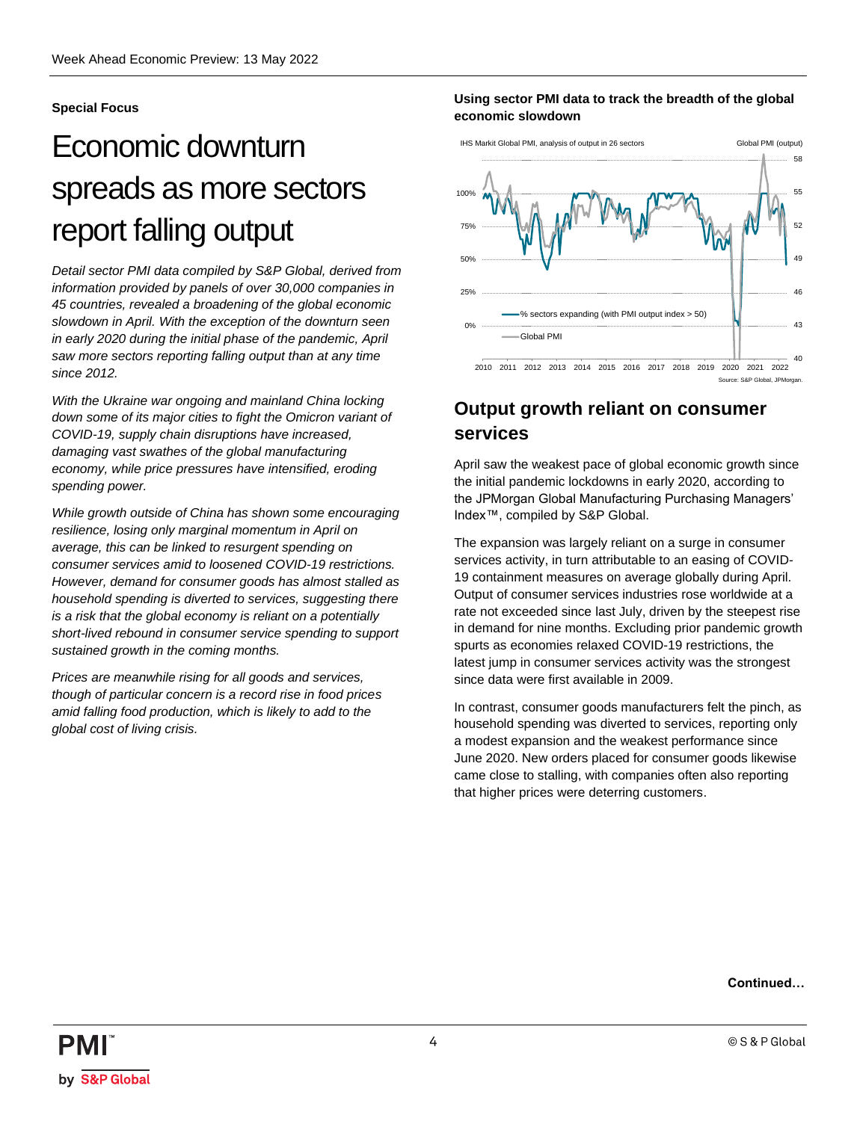### <span id="page-3-0"></span>**Special Focus**

## Economic downturn spreads as more sectors report falling output

*Detail sector PMI data compiled by S&P Global, derived from information provided by panels of over 30,000 companies in 45 countries, revealed a broadening of the global economic slowdown in April. With the exception of the downturn seen in early 2020 during the initial phase of the pandemic, April saw more sectors reporting falling output than at any time since 2012.*

*With the Ukraine war ongoing and mainland China locking down some of its major cities to fight the Omicron variant of COVID-19, supply chain disruptions have increased, damaging vast swathes of the global manufacturing economy, while price pressures have intensified, eroding spending power.* 

*While growth outside of China has shown some encouraging resilience, losing only marginal momentum in April on average, this can be linked to resurgent spending on consumer services amid to loosened COVID-19 restrictions. However, demand for consumer goods has almost stalled as household spending is diverted to services, suggesting there is a risk that the global economy is reliant on a potentially short-lived rebound in consumer service spending to support sustained growth in the coming months.* 

*Prices are meanwhile rising for all goods and services, though of particular concern is a record rise in food prices amid falling food production, which is likely to add to the global cost of living crisis.*

### **Using sector PMI data to track the breadth of the global economic slowdown**



### **Output growth reliant on consumer services**

April saw the weakest pace of global economic growth since the initial pandemic lockdowns in early 2020, according to the JPMorgan Global Manufacturing Purchasing Managers' Index™, compiled by S&P Global.

The expansion was largely reliant on a surge in consumer services activity, in turn attributable to an easing of COVID-19 containment measures on average globally during April. Output of consumer services industries rose worldwide at a rate not exceeded since last July, driven by the steepest rise in demand for nine months. Excluding prior pandemic growth spurts as economies relaxed COVID-19 restrictions, the latest jump in consumer services activity was the strongest since data were first available in 2009.

In contrast, consumer goods manufacturers felt the pinch, as household spending was diverted to services, reporting only a modest expansion and the weakest performance since June 2020. New orders placed for consumer goods likewise came close to stalling, with companies often also reporting that higher prices were deterring customers.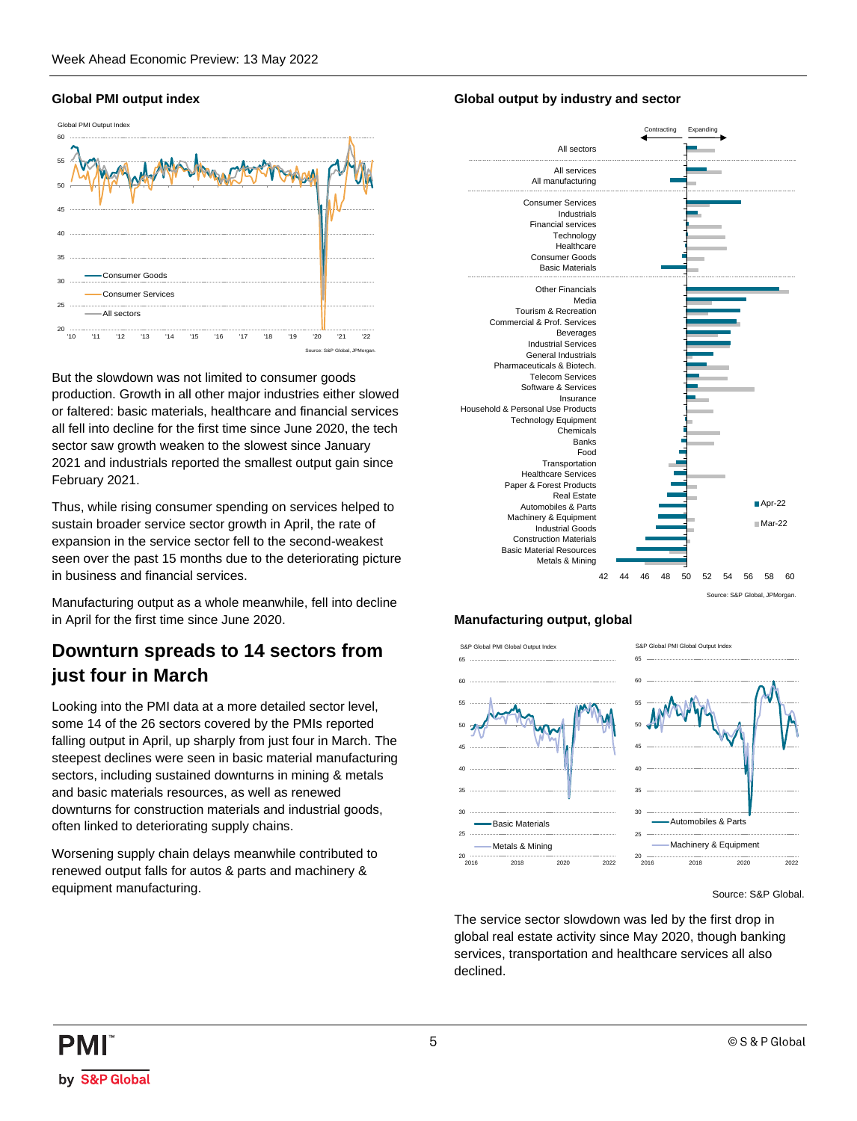### **Global PMI output index**



But the slowdown was not limited to consumer goods production. Growth in all other major industries either slowed or faltered: basic materials, healthcare and financial services all fell into decline for the first time since June 2020, the tech sector saw growth weaken to the slowest since January 2021 and industrials reported the smallest output gain since February 2021.

Thus, while rising consumer spending on services helped to sustain broader service sector growth in April, the rate of expansion in the service sector fell to the second-weakest seen over the past 15 months due to the deteriorating picture in business and financial services.

Manufacturing output as a whole meanwhile, fell into decline in April for the first time since June 2020.

### **Downturn spreads to 14 sectors from just four in March**

Looking into the PMI data at a more detailed sector level, some 14 of the 26 sectors covered by the PMIs reported falling output in April, up sharply from just four in March. The steepest declines were seen in basic material manufacturing sectors, including sustained downturns in mining & metals and basic materials resources, as well as renewed downturns for construction materials and industrial goods, often linked to deteriorating supply chains.

Worsening supply chain delays meanwhile contributed to renewed output falls for autos & parts and machinery & equipment manufacturing.

### **Global output by industry and sector**



#### **Manufacturing output, global**



Source: S&P Global.

The service sector slowdown was led by the first drop in global real estate activity since May 2020, though banking services, transportation and healthcare services all also declined.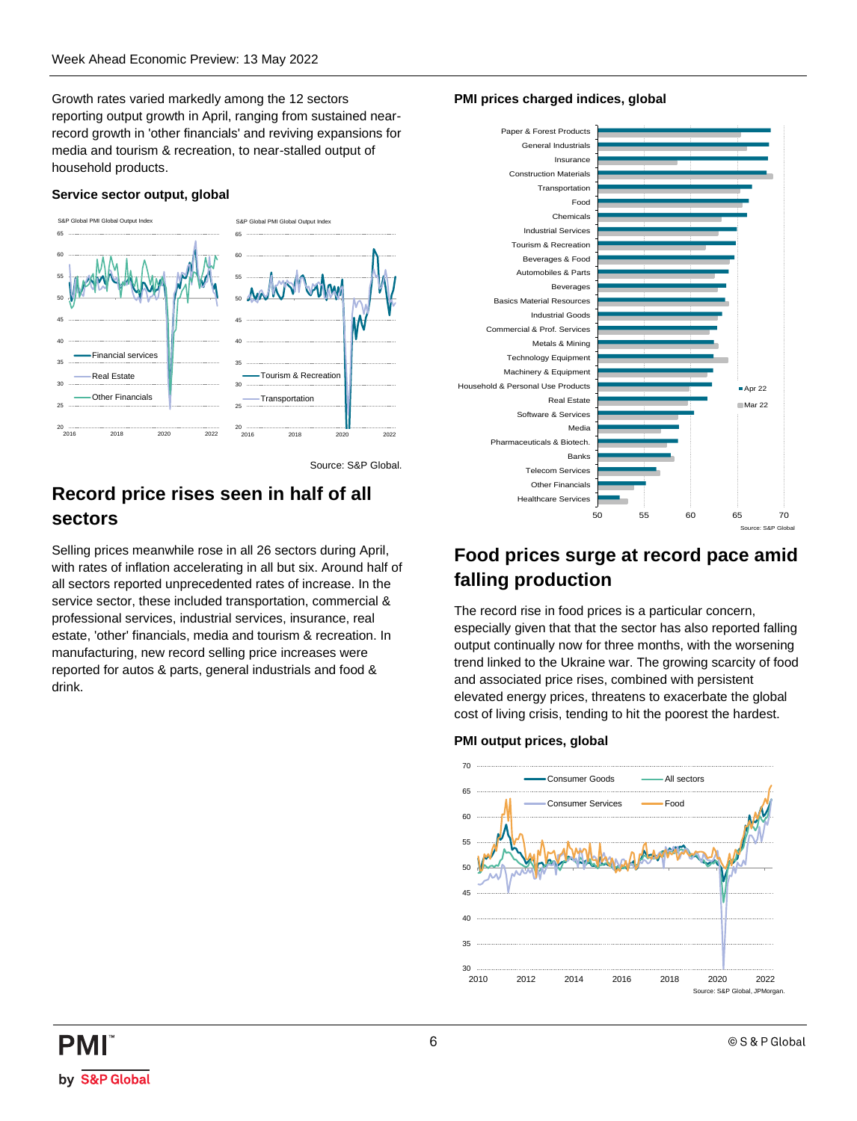Growth rates varied markedly among the 12 sectors reporting output growth in April, ranging from sustained nearrecord growth in 'other financials' and reviving expansions for media and tourism & recreation, to near-stalled output of household products.

#### **Service sector output, global**



Source: S&P Global.

### **Record price rises seen in half of all sectors**

Selling prices meanwhile rose in all 26 sectors during April, with rates of inflation accelerating in all but six. Around half of all sectors reported unprecedented rates of increase. In the service sector, these included transportation, commercial & professional services, industrial services, insurance, real estate, 'other' financials, media and tourism & recreation. In manufacturing, new record selling price increases were reported for autos & parts, general industrials and food & drink.

### **PMI prices charged indices, global**



### **Food prices surge at record pace amid falling production**

The record rise in food prices is a particular concern, especially given that that the sector has also reported falling output continually now for three months, with the worsening trend linked to the Ukraine war. The growing scarcity of food and associated price rises, combined with persistent elevated energy prices, threatens to exacerbate the global cost of living crisis, tending to hit the poorest the hardest.

### 30 ......<br>2010 35  $40$  $\overline{45}$ 50 55 60 65 70 2010 2012 2014 2016 2018 2020 2022 Consumer Goods **All sectors** Consumer Services **The Food** Source: S&P Global, JPMorgan.

#### **PMI output prices, global** S&P Global PMI Worldwide Output Prices Index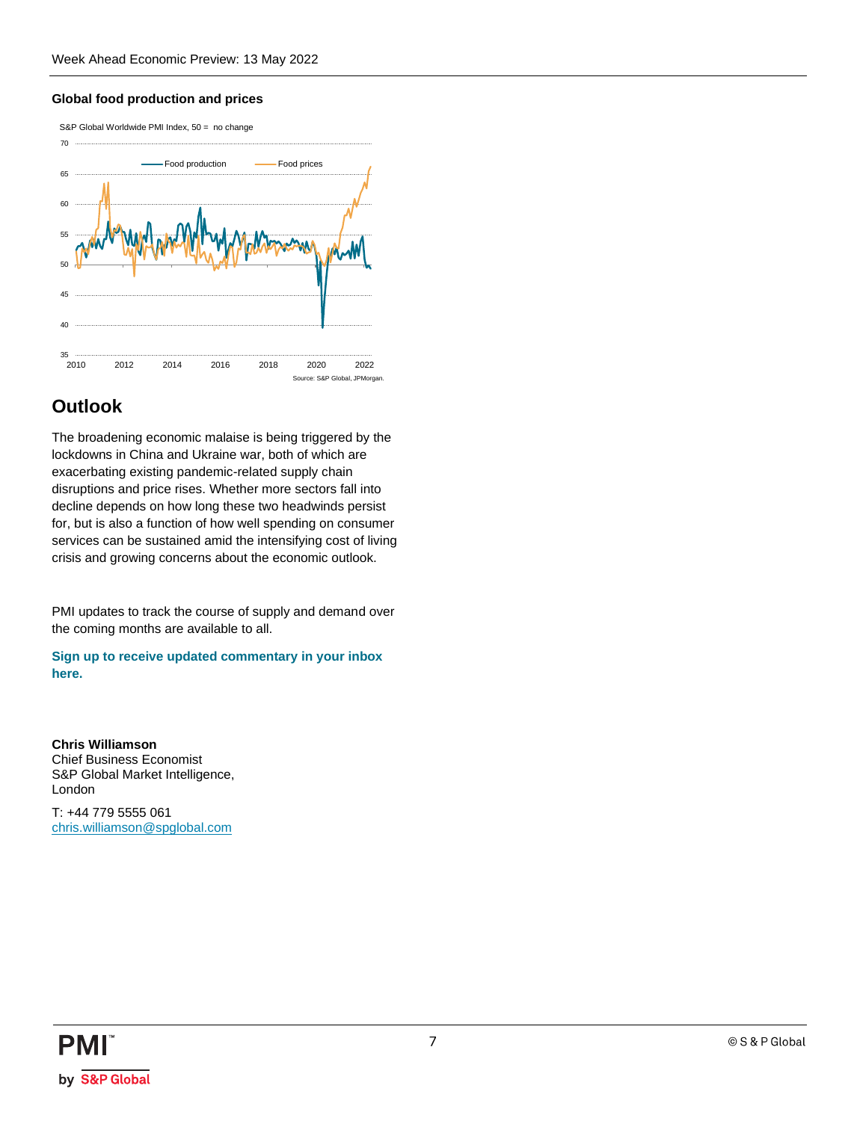### **Global food production and prices**



### **Outlook**

The broadening economic malaise is being triggered by the lockdowns in China and Ukraine war, both of which are exacerbating existing pandemic-related supply chain disruptions and price rises. Whether more sectors fall into decline depends on how long these two headwinds persist for, but is also a function of how well spending on consumer services can be sustained amid the intensifying cost of living crisis and growing concerns about the economic outlook.

PMI updates to track the course of supply and demand over the coming months are available to all.

**[Sign up to receive updated commentary in your inbox](https://ihsmarkit.com/Info/0220/subscription-pmi-blog.html)  [here.](https://ihsmarkit.com/Info/0220/subscription-pmi-blog.html)**

**Chris Williamson** Chief Business Economist S&P Global Market Intelligence, London

T: +44 779 5555 061 [chris.williamson@spglobal.com](mailto:chris.williamson@spglobal.com)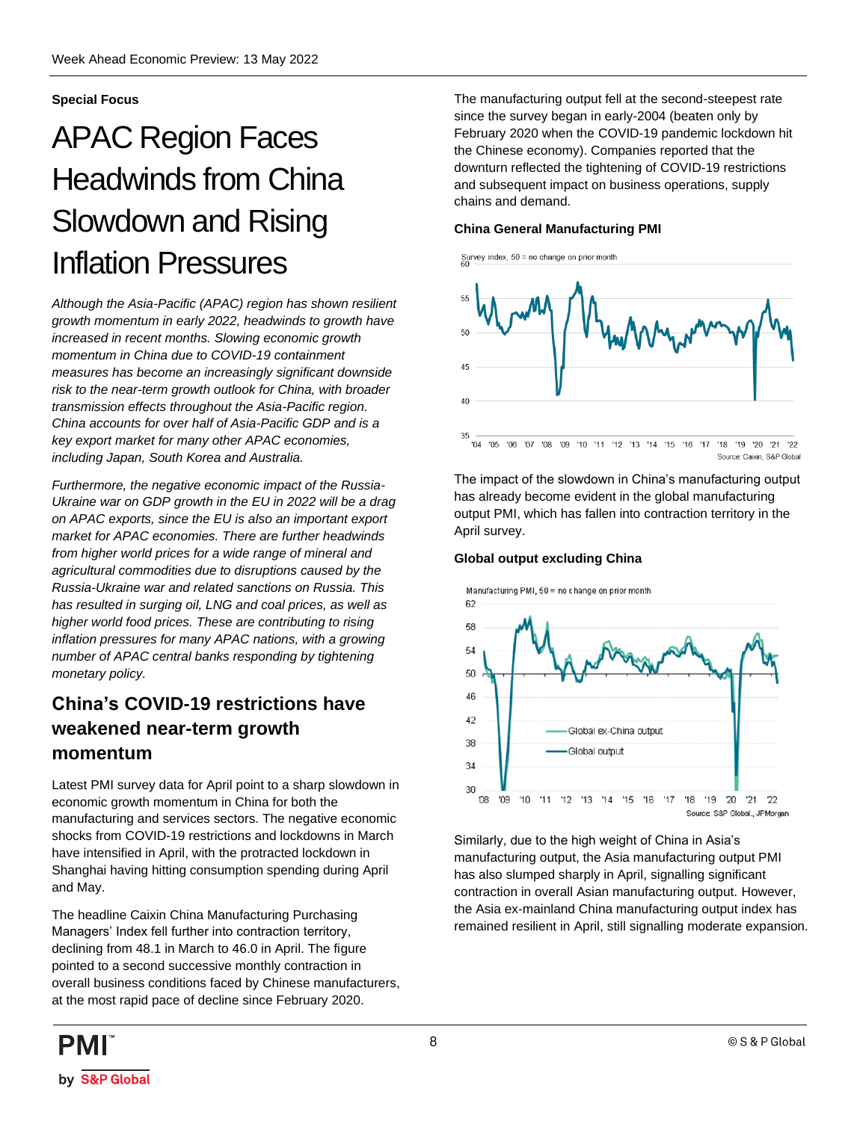### <span id="page-7-0"></span>**Special Focus**

## APAC Region Faces Headwinds from China Slowdown and Rising Inflation Pressures

*Although the Asia-Pacific (APAC) region has shown resilient growth momentum in early 2022, headwinds to growth have increased in recent months. Slowing economic growth momentum in China due to COVID-19 containment measures has become an increasingly significant downside risk to the near-term growth outlook for China, with broader transmission effects throughout the Asia-Pacific region. China accounts for over half of Asia-Pacific GDP and is a key export market for many other APAC economies, including Japan, South Korea and Australia.*

*Furthermore, the negative economic impact of the Russia-Ukraine war on GDP growth in the EU in 2022 will be a drag on APAC exports, since the EU is also an important export market for APAC economies. There are further headwinds from higher world prices for a wide range of mineral and agricultural commodities due to disruptions caused by the Russia-Ukraine war and related sanctions on Russia. This has resulted in surging oil, LNG and coal prices, as well as higher world food prices. These are contributing to rising inflation pressures for many APAC nations, with a growing number of APAC central banks responding by tightening monetary policy.*

### **China's COVID-19 restrictions have weakened near-term growth momentum**

Latest PMI survey data for April point to a sharp slowdown in economic growth momentum in China for both the manufacturing and services sectors. The negative economic shocks from COVID-19 restrictions and lockdowns in March have intensified in April, with the protracted lockdown in Shanghai having hitting consumption spending during April and May.

The headline Caixin China Manufacturing Purchasing Managers' Index fell further into contraction territory, declining from 48.1 in March to 46.0 in April. The figure pointed to a second successive monthly contraction in overall business conditions faced by Chinese manufacturers, at the most rapid pace of decline since February 2020.

The manufacturing output fell at the second-steepest rate since the survey began in early-2004 (beaten only by February 2020 when the COVID-19 pandemic lockdown hit the Chinese economy). Companies reported that the downturn reflected the tightening of COVID-19 restrictions and subsequent impact on business operations, supply chains and demand.

#### **China General Manufacturing PMI**



The impact of the slowdown in China's manufacturing output has already become evident in the global manufacturing output PMI, which has fallen into contraction territory in the April survey.

### **Global output excluding China**



Similarly, due to the high weight of China in Asia's manufacturing output, the Asia manufacturing output PMI has also slumped sharply in April, signalling significant contraction in overall Asian manufacturing output. However, the Asia ex-mainland China manufacturing output index has remained resilient in April, still signalling moderate expansion.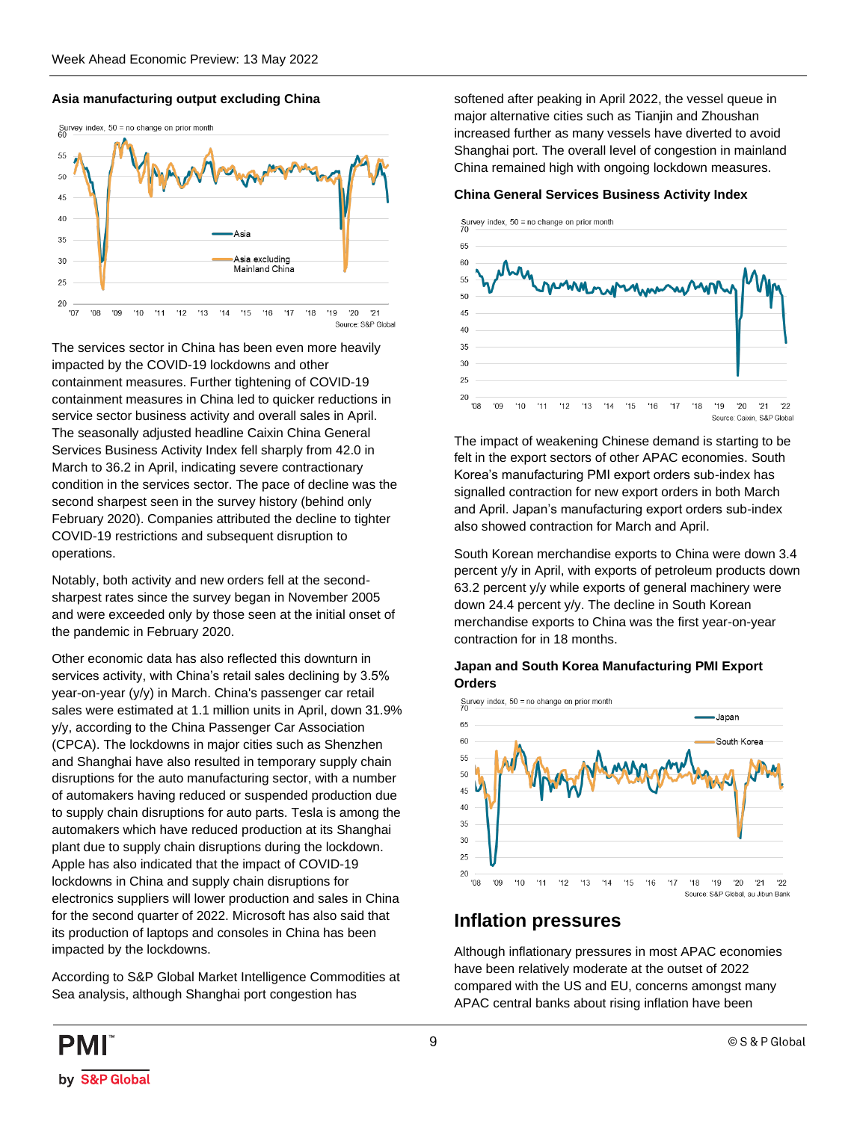### **Asia manufacturing output excluding China**



The services sector in China has been even more heavily impacted by the COVID-19 lockdowns and other containment measures. Further tightening of COVID-19 containment measures in China led to quicker reductions in service sector business activity and overall sales in April. The seasonally adjusted headline Caixin China General Services Business Activity Index fell sharply from 42.0 in March to 36.2 in April, indicating severe contractionary condition in the services sector. The pace of decline was the second sharpest seen in the survey history (behind only February 2020). Companies attributed the decline to tighter COVID-19 restrictions and subsequent disruption to operations.

Notably, both activity and new orders fell at the secondsharpest rates since the survey began in November 2005 and were exceeded only by those seen at the initial onset of the pandemic in February 2020.

Other economic data has also reflected this downturn in services activity, with China's retail sales declining by 3.5% year-on-year (y/y) in March. China's passenger car retail sales were estimated at 1.1 million units in April, down 31.9% y/y, according to the China Passenger Car Association (CPCA). The lockdowns in major cities such as Shenzhen and Shanghai have also resulted in temporary supply chain disruptions for the auto manufacturing sector, with a number of automakers having reduced or suspended production due to supply chain disruptions for auto parts. Tesla is among the automakers which have reduced production at its Shanghai plant due to supply chain disruptions during the lockdown. Apple has also indicated that the impact of COVID-19 lockdowns in China and supply chain disruptions for electronics suppliers will lower production and sales in China for the second quarter of 2022. Microsoft has also said that its production of laptops and consoles in China has been impacted by the lockdowns.

According to S&P Global Market Intelligence Commodities at Sea analysis, although Shanghai port congestion has

softened after peaking in April 2022, the vessel queue in major alternative cities such as Tianjin and Zhoushan increased further as many vessels have diverted to avoid Shanghai port. The overall level of congestion in mainland China remained high with ongoing lockdown measures.

#### **China General Services Business Activity Index**



The impact of weakening Chinese demand is starting to be felt in the export sectors of other APAC economies. South Korea's manufacturing PMI export orders sub-index has signalled contraction for new export orders in both March and April. Japan's manufacturing export orders sub-index also showed contraction for March and April.

South Korean merchandise exports to China were down 3.4 percent y/y in April, with exports of petroleum products down 63.2 percent y/y while exports of general machinery were down 24.4 percent y/y. The decline in South Korean merchandise exports to China was the first year-on-year contraction for in 18 months.

#### **Japan and South Korea Manufacturing PMI Export Orders**



### **Inflation pressures**

Although inflationary pressures in most APAC economies have been relatively moderate at the outset of 2022 compared with the US and EU, concerns amongst many APAC central banks about rising inflation have been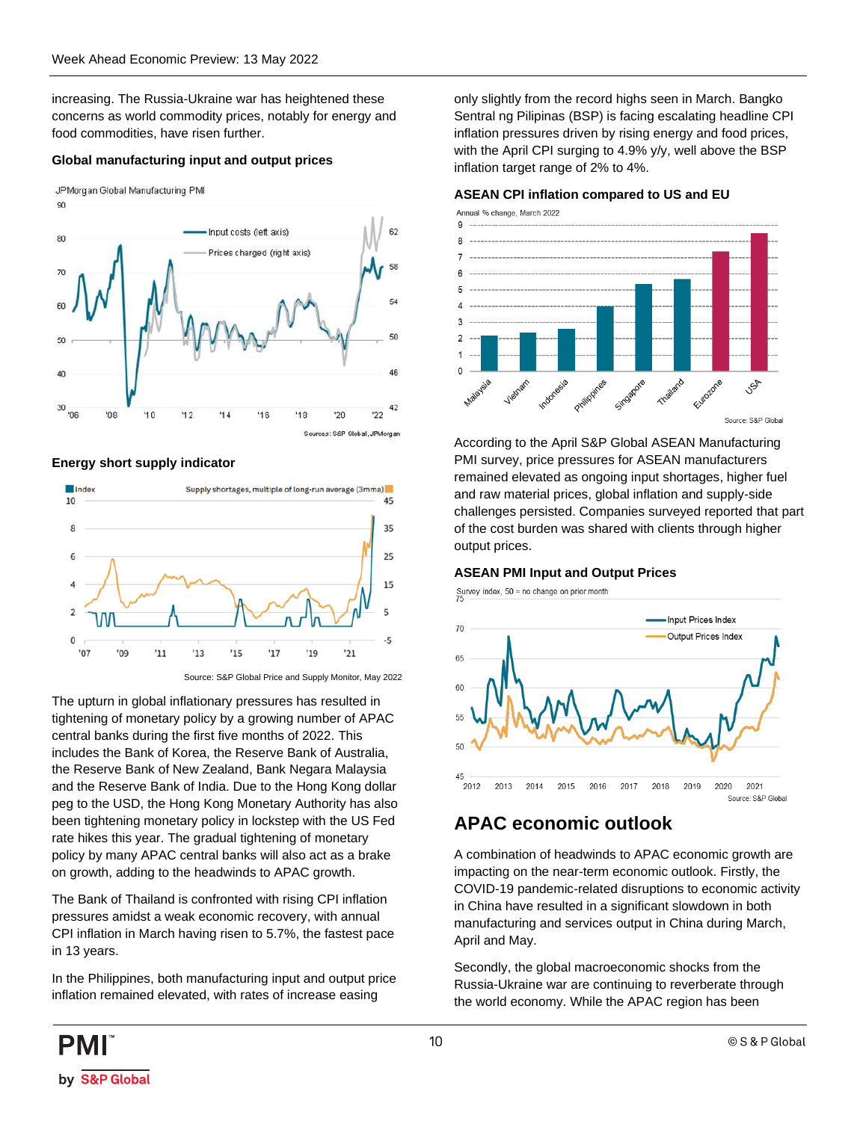increasing. The Russia-Ukraine war has heightened these concerns as world commodity prices, notably for energy and food commodities, have risen further.

### **Global manufacturing input and output prices**

JPMorgan Global Manufacturing PMI



**Energy short supply indicator**



Source: S&P Global Price and Supply Monitor, May 2022

The upturn in global inflationary pressures has resulted in tightening of monetary policy by a growing number of APAC central banks during the first five months of 2022. This includes the Bank of Korea, the Reserve Bank of Australia, the Reserve Bank of New Zealand, Bank Negara Malaysia and the Reserve Bank of India. Due to the Hong Kong dollar peg to the USD, the Hong Kong Monetary Authority has also been tightening monetary policy in lockstep with the US Fed rate hikes this year. The gradual tightening of monetary policy by many APAC central banks will also act as a brake on growth, adding to the headwinds to APAC growth.

The Bank of Thailand is confronted with rising CPI inflation pressures amidst a weak economic recovery, with annual CPI inflation in March having risen to 5.7%, the fastest pace in 13 years.

In the Philippines, both manufacturing input and output price inflation remained elevated, with rates of increase easing

only slightly from the record highs seen in March. Bangko Sentral ng Pilipinas (BSP) is facing escalating headline CPI inflation pressures driven by rising energy and food prices, with the April CPI surging to 4.9% y/y, well above the BSP inflation target range of 2% to 4%.

#### **ASEAN CPI inflation compared to US and EU**



According to the April S&P Global ASEAN Manufacturing PMI survey, price pressures for ASEAN manufacturers remained elevated as ongoing input shortages, higher fuel and raw material prices, global inflation and supply-side challenges persisted. Companies surveyed reported that part of the cost burden was shared with clients through higher output prices.

#### **ASEAN PMI Input and Output Prices**

Survey index,  $50 =$  no change on prior month



### **APAC economic outlook**

A combination of headwinds to APAC economic growth are impacting on the near-term economic outlook. Firstly, the COVID-19 pandemic-related disruptions to economic activity in China have resulted in a significant slowdown in both manufacturing and services output in China during March, April and May.

Secondly, the global macroeconomic shocks from the Russia-Ukraine war are continuing to reverberate through the world economy. While the APAC region has been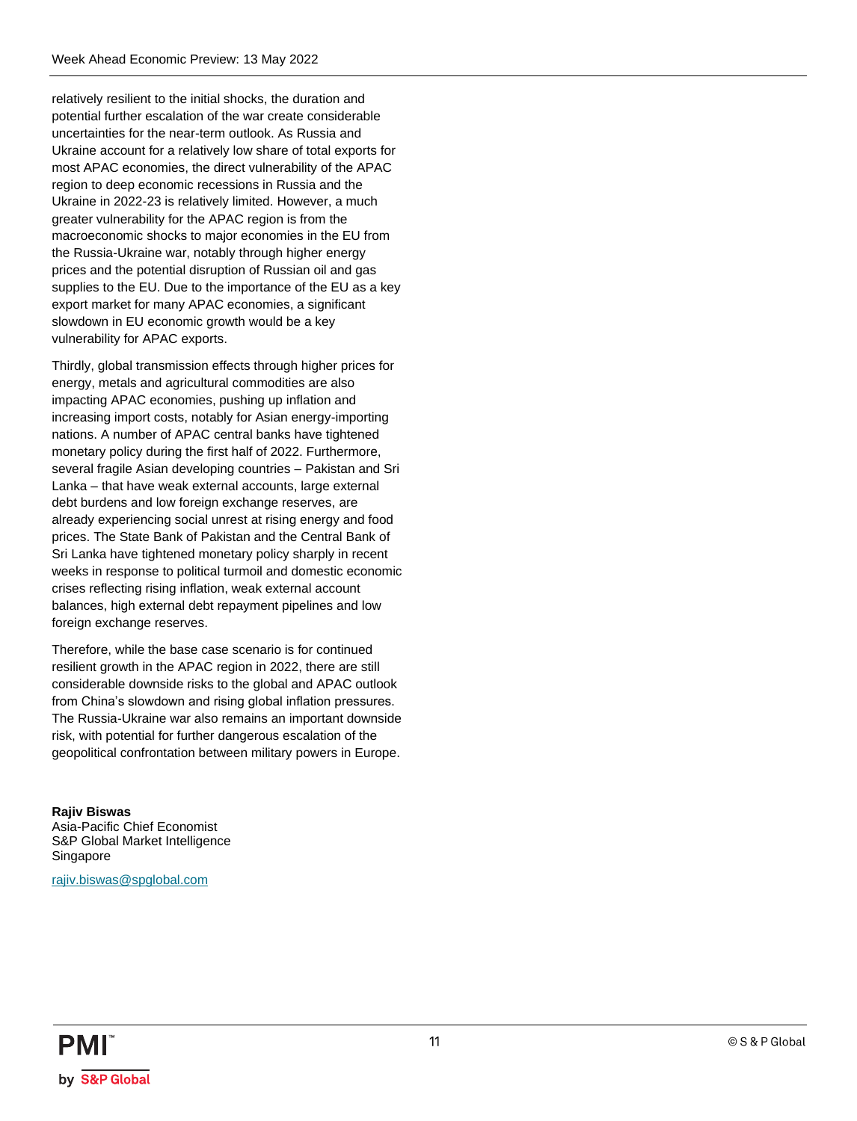relatively resilient to the initial shocks, the duration and potential further escalation of the war create considerable uncertainties for the near-term outlook. As Russia and Ukraine account for a relatively low share of total exports for most APAC economies, the direct vulnerability of the APAC region to deep economic recessions in Russia and the Ukraine in 2022-23 is relatively limited. However, a much greater vulnerability for the APAC region is from the macroeconomic shocks to major economies in the EU from the Russia-Ukraine war, notably through higher energy prices and the potential disruption of Russian oil and gas supplies to the EU. Due to the importance of the EU as a key export market for many APAC economies, a significant slowdown in EU economic growth would be a key vulnerability for APAC exports.

Thirdly, global transmission effects through higher prices for energy, metals and agricultural commodities are also impacting APAC economies, pushing up inflation and increasing import costs, notably for Asian energy-importing nations. A number of APAC central banks have tightened monetary policy during the first half of 2022. Furthermore, several fragile Asian developing countries – Pakistan and Sri Lanka – that have weak external accounts, large external debt burdens and low foreign exchange reserves, are already experiencing social unrest at rising energy and food prices. The State Bank of Pakistan and the Central Bank of Sri Lanka have tightened monetary policy sharply in recent weeks in response to political turmoil and domestic economic crises reflecting rising inflation, weak external account balances, high external debt repayment pipelines and low foreign exchange reserves.

Therefore, while the base case scenario is for continued resilient growth in the APAC region in 2022, there are still considerable downside risks to the global and APAC outlook from China's slowdown and rising global inflation pressures. The Russia-Ukraine war also remains an important downside risk, with potential for further dangerous escalation of the geopolitical confrontation between military powers in Europe.

**Rajiv Biswas** Asia-Pacific Chief Economist S&P Global Market Intelligence Singapore

[rajiv.biswas@spglobal.com](mailto:rajiv.biswas@spglobal.com)